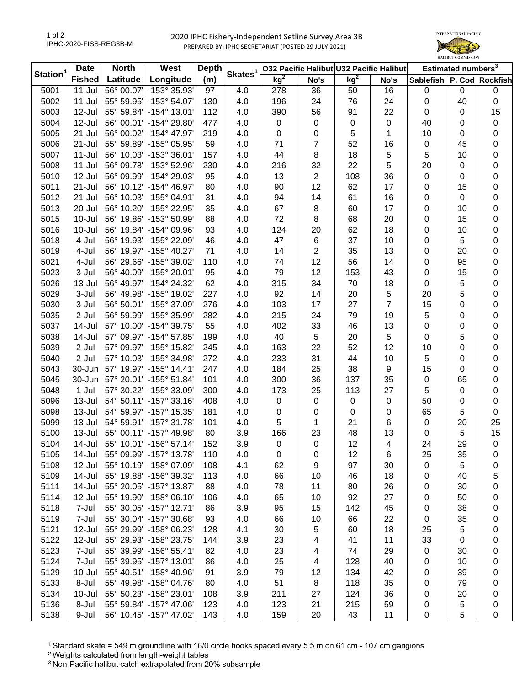## 2020 IPHC Fishery-Independent Setline Survey Area 3B PREPARED BY: IPHC SECRETARIAT (POSTED 29 JULY 2021)



| Station <sup>4</sup> | <b>Date</b>   | <b>North</b> | West                     | <b>Depth</b> | Skates <sup>1</sup> | 032 Pacific Halibut U32 Pacific Halibut |                         |                 | Estimated numbers <sup>3</sup> |                               |             |           |
|----------------------|---------------|--------------|--------------------------|--------------|---------------------|-----------------------------------------|-------------------------|-----------------|--------------------------------|-------------------------------|-------------|-----------|
|                      | <b>Fished</b> | Latitude     | Longitude                | (m)          |                     | kg <sup>2</sup>                         | No's                    | kg <sup>2</sup> | No's                           | Sablefish   P. Cod   Rockfish |             |           |
| 5001                 | $11 -$ Jul    | 56° 00.07'   | -153° 35.93'             | 97           | 4.0                 | 278                                     | 36                      | 50              | 16                             | $\mathbf 0$                   | 0           | $\pmb{0}$ |
| 5002                 | $11 -$ Jul    | 55° 59.95'   | -153° 54.07'             | 130          | 4.0                 | 196                                     | 24                      | 76              | 24                             | 0                             | 40          | 0         |
| 5003                 | 12-Jul        | 55° 59.84'   | -154° 13.01'             | 112          | 4.0                 | 390                                     | 56                      | 91              | 22                             | 0                             | 0           | 15        |
| 5004                 | 12-Jul        | 56° 00.01'   | -154° 29.80'             | 477          | 4.0                 | $\pmb{0}$                               | 0                       | 0               | $\pmb{0}$                      | 40                            | 0           | 0         |
| 5005                 | $21 -$ Jul    | 56° 00.02'   | -154° 47.97'             | 219          | 4.0                 | 0                                       | 0                       | 5               | 1                              | 10                            | 0           | 0         |
| 5006                 | $21 -$ Jul    | 55° 59.89'   | -155° 05.95'             | 59           | 4.0                 | 71                                      | 7                       | 52              | 16                             | 0                             | 45          | 0         |
| 5007                 | $11 -$ Jul    | 56° 10.03'   | $-153^{\circ}36.01'$     | 157          | 4.0                 | 44                                      | 8                       | 18              | 5                              | 5                             | 10          | 0         |
| 5008                 | $11 -$ Jul    | 56° 09.78'   | -153° 52.96'             | 230          | 4.0                 | 216                                     | 32                      | 22              | 5                              | 20                            | 0           | 0         |
| 5010                 | 12-Jul        | 56° 09.99'   | -154° 29.03'             | 95           | 4.0                 | 13                                      | $\sqrt{2}$              | 108             | 36                             | 0                             | 0           | 0         |
| 5011                 | $21 -$ Jul    | 56° 10.12'   | -154° 46.97'             | 80           | 4.0                 | 90                                      | 12                      | 62              | 17                             | 0                             | 15          | 0         |
| 5012                 | $21 -$ Jul    | 56° 10.03'   | -155° 04.91'             | 31           | 4.0                 | 94                                      | 14                      | 61              | 16                             | $\mathbf 0$                   | $\mathbf 0$ | 0         |
| 5013                 | 20-Jul        | 56° 10.20'   | -155° 22.95'             | 35           | 4.0                 | 67                                      | 8                       | 60              | 17                             | $\pmb{0}$                     | 10          | 0         |
| 5015                 | 10-Jul        | 56° 19.86'   | -153° 50.99              | 88           | 4.0                 | 72                                      | 8                       | 68              | 20                             | 0                             | 15          | 0         |
| 5016                 | $10 -$ Jul    | 56° 19.84'   | -154° 09.96'             | 93           | 4.0                 | 124                                     | 20                      | 62              | 18                             | 0                             | 10          | 0         |
| 5018                 | 4-Jul         | 56° 19.93'   | -155° 22.09'             | 46           | 4.0                 | 47                                      | 6                       | 37              | 10                             | 0                             | 5           | 0         |
| 5019                 | 4-Jul         | 56° 19.97'   | -155° 40.27'             | 71           | 4.0                 | 14                                      | $\overline{\mathbf{c}}$ | 35              | 13                             | 0                             | 20          | 0         |
| 5021                 | 4-Jul         | 56° 29.66'   | -155° 39.02'             | 110          | 4.0                 | 74                                      | 12                      | 56              | 14                             | 0                             | 95          | 0         |
| 5023                 | 3-Jul         | 56° 40.09'   | -155° 20.01'             | 95           | 4.0                 | 79                                      | 12                      | 153             | 43                             | 0                             | 15          | 0         |
| 5026                 | 13-Jul        | 56° 49.97'   | -154° 24.32'             | 62           | 4.0                 | 315                                     | 34                      | 70              | 18                             | 0                             | 5           | 0         |
| 5029                 | 3-Jul         | 56° 49.98'   | -155° 19.02'             | 227          | 4.0                 | 92                                      | 14                      | 20              | 5                              | 20                            | 5           | 0         |
| 5030                 | 3-Jul         | 56° 50.01'   | -155° 37.09              | 276          | 4.0                 | 103                                     | 17                      | 27              | $\overline{7}$                 | 15                            | 0           | 0         |
| 5035                 | $2-Jul$       | 56° 59.99'   | -155° 35.99'             | 282          | 4.0                 | 215                                     | 24                      | 79              | 19                             | 5                             | 0           | 0         |
| 5037                 | 14-Jul        | 57° 10.00'   | -154° 39.75'             | 55           | 4.0                 | 402                                     | 33                      | 46              | 13                             | 0                             | 0           | 0         |
| 5038                 | 14-Jul        | 57° 09.97'   | -154° 57.85'             | 199          | 4.0                 | 40                                      | $\mathbf 5$             | 20              | 5                              | 0                             | 5           | 0         |
| 5039                 | 2-Jul         | 57° 09.97'   | -155° 15.82'             | 245          | 4.0                 | 163                                     | 22                      | 52              | 12                             | 10                            | 0           | 0         |
| 5040                 | $2-Jul$       | 57° 10.03'   | -155° 34.98'             | 272          | 4.0                 | 233                                     | 31                      | 44              | 10                             | 5                             | 0           | 0         |
| 5043                 | 30-Jun        | 57° 19.97'   | $-155^{\circ}$ 14.41'    | 247          | 4.0                 | 184                                     | 25                      | 38              | $\boldsymbol{9}$               | 15                            | 0           | 0         |
| 5045                 | 30-Jun        | 57° 20.01'   | -155° 51.84'             | 101          | 4.0                 | 300                                     | 36                      | 137             | 35                             | $\mathbf 0$                   | 65          | 0         |
| 5048                 | 1-Jul         | 57° 30.22'   | -155° 33.09'             | 300          | 4.0                 | 173                                     | 25                      | 113             | 27                             | 5                             | 0           | 0         |
| 5096                 | $13 -$ Jul    | 54° 50.11'   | $-157°33.16'$            | 408          | 4.0                 | $\pmb{0}$                               | 0                       | 0               | $\pmb{0}$                      | 50                            | 0           | 0         |
| 5098                 | 13-Jul        | 54° 59.97'   | $-157°$ 15.35            | 181          | 4.0                 | 0                                       | 0                       | $\mathbf 0$     | $\mathbf 0$                    | 65                            | 5           | 0         |
| 5099                 | 13-Jul        | 54° 59.91'   | $-157°31.78$             | 101          | 4.0                 | 5                                       | 1                       | 21              | 6                              | 0                             | 20          | 25        |
| 5100                 | 13-Jul        | 55° 00.11'   | $-157^{\circ}$ 49.98     | 80           | 3.9                 | 166                                     | 23                      | 48              | 13                             | 0                             | 5           | 15        |
| 5104                 | 14-Jul        |              | 55° 10.01' - 156° 57.14' | 152          | 3.9                 | $\pmb{0}$                               | 0                       | 12              | 4                              | 24                            | 29          | $\pmb{0}$ |
| 5105                 | 14-Jul        |              | 55° 09.99' - 157° 13.78' | 110          | 4.0                 | 0                                       | 0                       | 12              | 6                              | 25                            | 35          | 0         |
| 5108                 | 12-Jul        |              | 55° 10.19' - 158° 07.09' | 108          | 4.1                 | 62                                      | 9                       | 97              | 30                             | 0                             | 5           | 0         |
| 5109                 | 14-Jul        | 55° 19.88'   | -156° 39.32'             | 113          | 4.0                 | 66                                      | 10                      | 46              | 18                             | 0                             | 40          | 5         |
| 5111                 | 14-Jul        | 55° 20.05'   | -157° 13.87'             | 88           | 4.0                 | 78                                      | 11                      | 80              | 26                             | 0                             | 30          | 0         |
| 5114                 | 12-Jul        | 55° 19.90'   | $-158^{\circ}$ 06.10     | 106          | 4.0                 | 65                                      | 10                      | 92              | 27                             | 0                             | 50          | 0         |
| 5118                 | 7-Jul         | 55° 30.05'   | $-157°$ 12.71'           | 86           | 3.9                 | 95                                      | 15                      | 142             | 45                             | 0                             | 38          | 0         |
| 5119                 | 7-Jul         | 55° 30.04'   | -157° 30.68'             | 93           | 4.0                 | 66                                      | 10                      | 66              | 22                             | 0                             | 35          | 0         |
| 5121                 | 12-Jul        | 55° 29.99'   | -158° 06.23'             | 128          | 4.1                 | 30                                      | 5                       | 60              | 18                             | 25                            | 5           | 0         |
| 5122                 | 12-Jul        | 55° 29.93'   | -158° 23.75'             | 144          | 3.9                 | 23                                      | 4                       | 41              | 11                             | 33                            | 0           | 0         |
| 5123                 | 7-Jul         | 55° 39.99'   | $-156°55.41'$            | 82           | 4.0                 | 23                                      | 4                       | 74              | 29                             | $\pmb{0}$                     | 30          | 0         |
| 5124                 | 7-Jul         | 55° 39.95'   | $-157^{\circ}$ 13.01'    | 86           | 4.0                 | 25                                      | 4                       | 128             | 40                             | 0                             | 10          | 0         |
| 5129                 | 10-Jul        | 55° 40.51'   | -158° 40.96'             | 91           | 3.9                 | 79                                      | 12                      | 134             | 42                             | 0                             | 39          | 0         |
| 5133                 | 8-Jul         | 55° 49.98'   | -158° 04.76'             | 80           | 4.0                 | 51                                      | 8                       | 118             | 35                             | 0                             | 79          | 0         |
| 5134                 | 10-Jul        | 55° 50.23'   | -158° 23.01'             | 108          | 3.9                 | 211                                     | 27                      | 124             | 36                             | 0                             | 20          | 0         |
| 5136                 | 8-Jul         | 55° 59.84'   | -157° 47.06'             | 123          | 4.0                 | 123                                     | 21                      | 215             | 59                             | 0                             | 5           | 0         |
| 5138                 | 9-Jul         |              | 56° 10.45' - 157° 47.02' | 143          | 4.0                 | 159                                     | 20                      | 43              | 11                             | $\pmb{0}$                     | 5           | 0         |

<sup>1</sup> Standard skate = 549 m groundline with 16/0 circle hooks spaced every 5.5 m on 61 cm - 107 cm gangions

<sup>2</sup> Weights calculated from length-weight tables

<sup>3</sup> Non-Pacific halibut catch extrapolated from 20% subsample